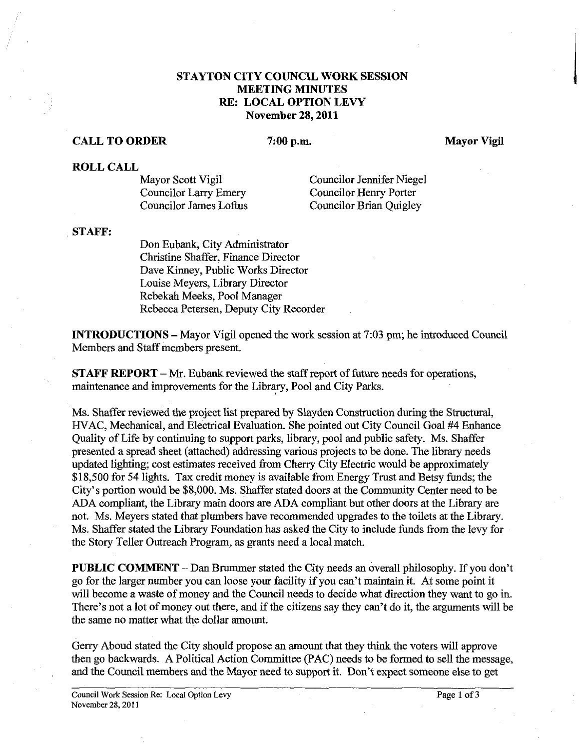## **STAYTON CITY COUNCIL WORK SESSION MEETING MINUTES RE: LOCAL OPTION LEVY November 28,2011**

## **CALL TO ORDER** 7:00 p.m. Mayor Vigil

**ROLL CALL** 

Councilor Larry Emery Councilor Henry Porter Councilor James Loftus Councilor Brian Quigley

Mayor Scott Vigil Councilor Jennifer Niegel

## **STAFF:**

Don Eubank, City Administrator Christine Shaffer, Finance Director Dave Kinney, Public Works Director Louise Meyers, Library Director Rebekah Meeks, Pool Manager Rebecca Petersen, Deputy City Recorder

**INTRODUCTIONS** - Mayor Vigil opened the work session at 7:03 pm; he introduced Council Members and Staff members present.

**STAFF REPORT** - **Mr.** Eubank reviewed the staff report of future needs for operations, maintenance and improvements for the Library, Pool and City Parks.

Ms. Shaffer reviewed the project list prepared by Slayden Construction during the Structural, HVAC, Mechanical, and Electrical Evaluation. She pointed out City Council Goal #4 Enhance Quality of Life by continuing to support parks, library, pool and public safety. Ms. Shaffer presented a spread sheet (attached) addressing various projects to be done. The library needs updated lighting; cost estimates received from Cherry City Electric would be approximately \$18,500 for 54 lights. Tax credit money is available from Energy Trust and Betsy funds; the City's portion would be \$8,000. Ms. Shaffer stated doors at the Community Center need to be ADA compliant, the Library main doors are ADA compliant but other doors at the Library are not. Ms. Meyers stated that plumbers have recommended upgrades to the toilets at the Library. Ms. Shaffer stated the Library Foundation has asked the City to include funds from the levy for the Story Teller Outreach Program, as grants need a local match.

**PUBLIC COMMENT** - Dan Brummer stated the City needs an overall philosophy. If you don't go for the larger number you can loose your facility if you can't maintain it. At some point it will become a waste of money and the Council needs to decide what direction they want to go in. There's not a lot of money out there, and if the citizens say they can't do it, the arguments will be the same no matter what the dollar amount.

Gerry Aboud stated the City should propose an amount that they think the voters will approve then go backwards. A Political Action Committee (PAC) needs to be formed to sell the message, and the Council members and the Mayor need to support it. Don't expect someone else to get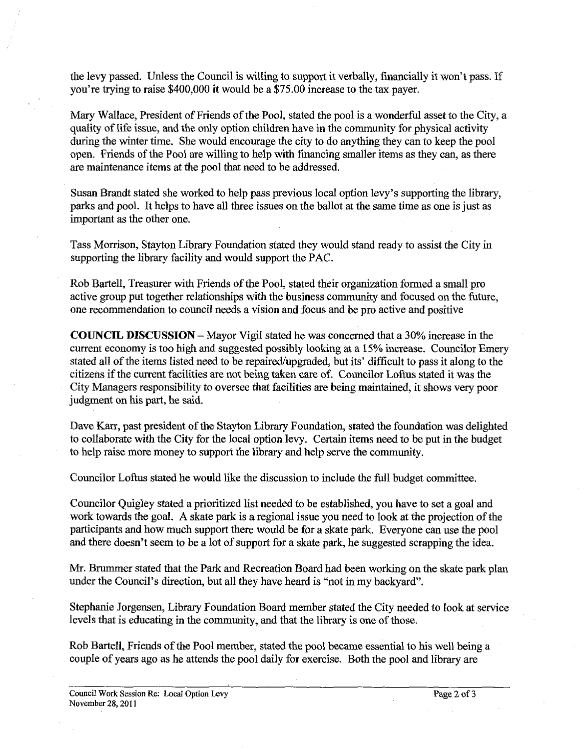the levy passed. Unless the Council is willing to support it verbally, financially it won't pass. If you're trying to raise \$400,000 it would be a \$75.00 increase to the tax payer.

Mary Wallace, President of Friends of the Pool, stated the pool is a wonderful asset to the City, a quality of life issue, and the only option children have in the community for physical activity during the winter time. She would encourage the city to do anything they can to keep the pool open. Friends of the Pool are willing to help with financing smaller items as they can, as there are maintenance items at the pool that need to be addressed.

Susan Brandt stated she worked to help pass previous local option levy's supporting the library, parks and pool. It helps to have all three issues on the ballot at the same time as one is just as important as the other one.

Tass Morrison, Stayton Library Foundation stated they would stand ready to assist the City in supporting the library facility and would support the PAC.

Rob Bartell, Treasurer with Friends of the Pool, stated their organization formed a small pro active group put together relationships with the business community and focused on the future, one recommendation to council needs a vision and focus and be pro active and positive

**COUNCIL DISCUSSION** - Mayor Vigil stated he was concerned that a 30% increase in the current economy is too high and suggested possibly looking at a 15% increase. Councilor Emery stated all of the items listed need to be repaired/upgraded, but its' difficult to pass it along to the citizens if the current facilities are not being taken care of. Councilor Loftus stated it was the City Managers responsibility to oversee that facilities are being maintained, it shows very poor judgment on his pat, he said.

Dave Karr, past president of the Stayton Library Foundation, stated the foundation was delighted to collaborate with the City for the local option levy. Certain items need to be put in the budget to help raise more money to support the library and help serve the community.

Councilor Loftus stated he would like the discussion to include the full budget committee.

Councilor Quigley stated a prioritized list needed to be established, you have to set a goal and work towards the goal. A skate park is a regional issue you need to look at the projection of the participants and how much support there would be for a skate park. Everyone can use the pool and there doesn't seem to be a lot of support for a skate park, he suggested scrapping the idea.

Mr. Brummer stated that the Park and Recreation Board had been working on the skate park plan under the Council's direction, but all they have heard is "not in my backyard".

Stephanie Jorgensen, Library Foundation Board member stated the City needed to look at service levels that is educating in the community, and that the library is one of those.

Rob Bartell, Friends of the Pool member, stated the pool became essential to his well being a couple of years ago as he attends the pool daily for exercise. Both the pool and library are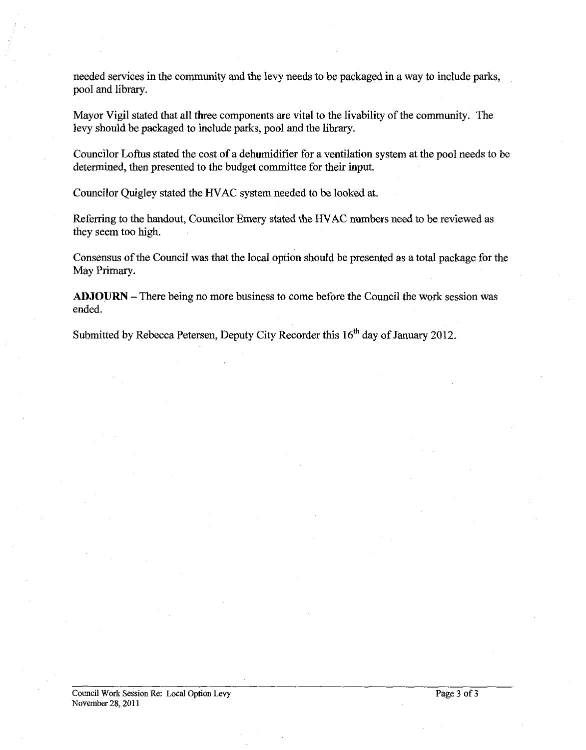needed services in the community and the levy needs to be packaged in a way to include parks, pool and library.

Mayor Vigil stated that all three components are vital to the livability of the community. The levy should be packaged to include parks, pool and the library.

Councilor Loftus stated the cost of a dehumidifier for a ventilation system at the pool needs to be determined, then presented to the budget committee for their input.

Councilor Quigley stated the HVAC system needed to be looked at.

Referring to the handout, Councilor Emery stated the HVAC numbers need to be reviewed as they seem too high.

Consensus of the Council was that the local option should be presented as a total package for the May Primary.

ADJOURN -There being no more business to come before the Council the work session was ended.

Submitted by Rebecca Petersen, Deputy City Recorder this 16" day of **January** 2012.